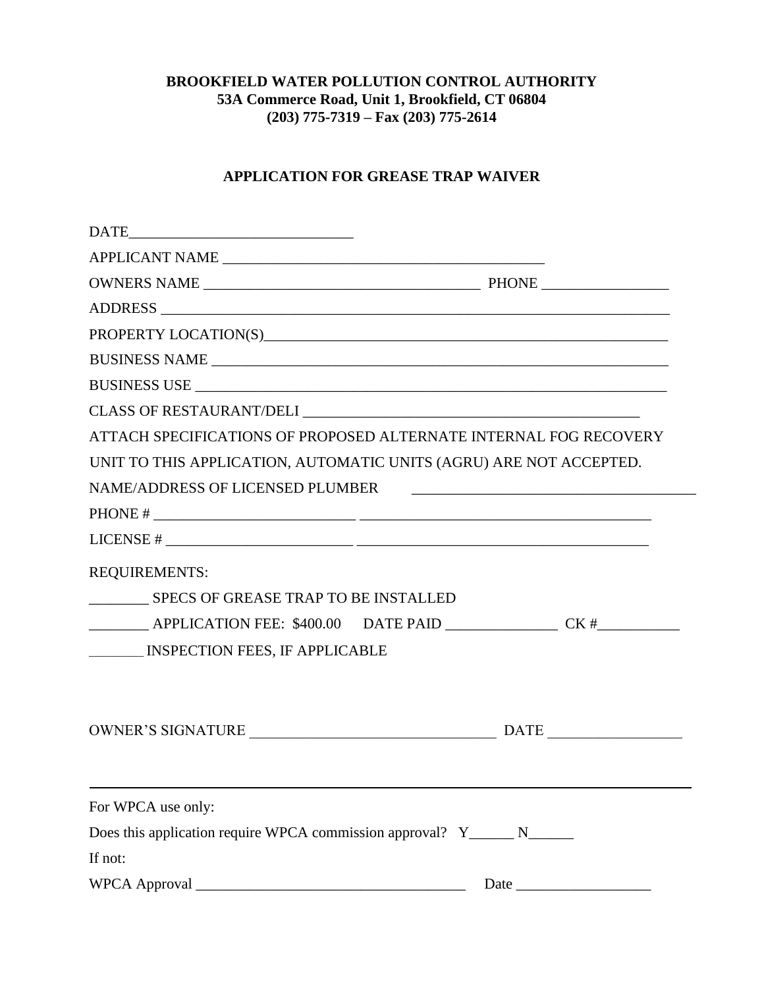## **BROOKFIELD WATER POLLUTION CONTROL AUTHORITY 53A Commerce Road, Unit 1, Brookfield, CT 06804 (203) 775-7319 – Fax (203) 775-2614**

## **APPLICATION FOR GREASE TRAP WAIVER**

|                                                                           | ATTACH SPECIFICATIONS OF PROPOSED ALTERNATE INTERNAL FOG RECOVERY                 |
|---------------------------------------------------------------------------|-----------------------------------------------------------------------------------|
|                                                                           | UNIT TO THIS APPLICATION, AUTOMATIC UNITS (AGRU) ARE NOT ACCEPTED.                |
|                                                                           |                                                                                   |
|                                                                           |                                                                                   |
|                                                                           | LICENSE # $\frac{1}{2}$                                                           |
| <b>REQUIREMENTS:</b>                                                      |                                                                                   |
| ___________ SPECS OF GREASE TRAP TO BE INSTALLED                          |                                                                                   |
|                                                                           | ___________ APPLICATION FEE: \$400.00 DATE PAID ________________ CK #____________ |
| <b>NICOLER IN SPECTION FEES, IF APPLICABLE</b>                            |                                                                                   |
|                                                                           |                                                                                   |
|                                                                           |                                                                                   |
|                                                                           |                                                                                   |
| For WPCA use only:                                                        |                                                                                   |
| Does this application require WPCA commission approval? Y_______ N_______ |                                                                                   |
| If not:                                                                   |                                                                                   |
|                                                                           |                                                                                   |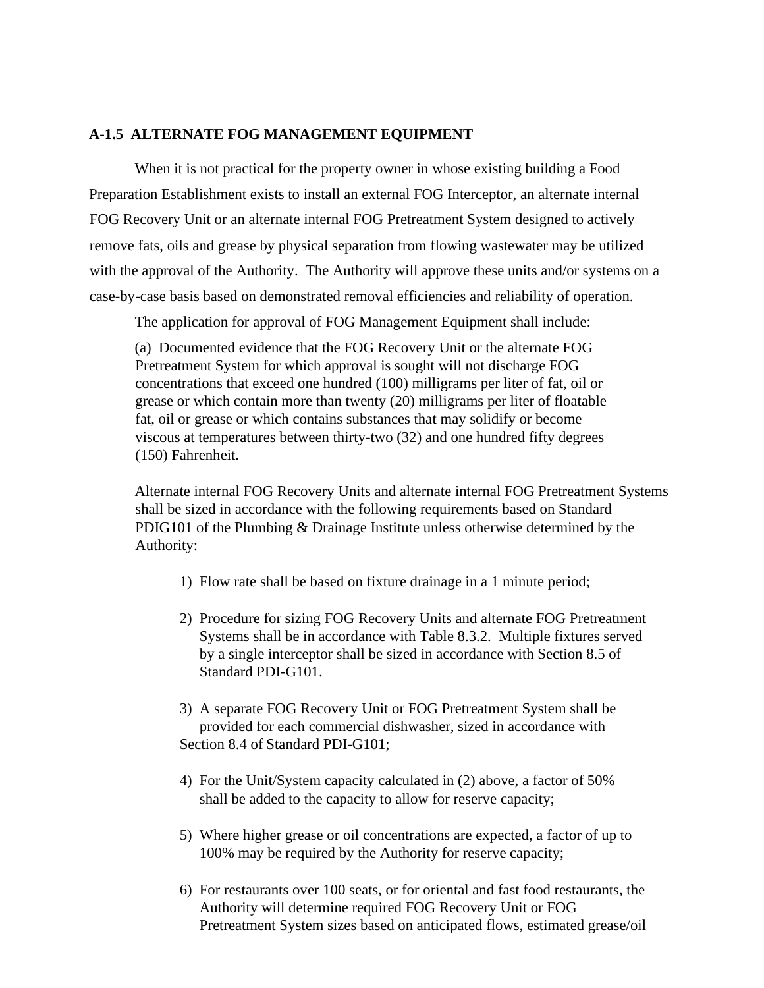## **A-1.5 ALTERNATE FOG MANAGEMENT EQUIPMENT**

When it is not practical for the property owner in whose existing building a Food Preparation Establishment exists to install an external FOG Interceptor, an alternate internal FOG Recovery Unit or an alternate internal FOG Pretreatment System designed to actively remove fats, oils and grease by physical separation from flowing wastewater may be utilized with the approval of the Authority. The Authority will approve these units and/or systems on a case-by-case basis based on demonstrated removal efficiencies and reliability of operation.

The application for approval of FOG Management Equipment shall include:

(a) Documented evidence that the FOG Recovery Unit or the alternate FOG Pretreatment System for which approval is sought will not discharge FOG concentrations that exceed one hundred (100) milligrams per liter of fat, oil or grease or which contain more than twenty (20) milligrams per liter of floatable fat, oil or grease or which contains substances that may solidify or become viscous at temperatures between thirty-two (32) and one hundred fifty degrees (150) Fahrenheit.

Alternate internal FOG Recovery Units and alternate internal FOG Pretreatment Systems shall be sized in accordance with the following requirements based on Standard PDIG101 of the Plumbing & Drainage Institute unless otherwise determined by the Authority:

- 1) Flow rate shall be based on fixture drainage in a 1 minute period;
- 2) Procedure for sizing FOG Recovery Units and alternate FOG Pretreatment Systems shall be in accordance with Table 8.3.2. Multiple fixtures served by a single interceptor shall be sized in accordance with Section 8.5 of Standard PDI-G101.
- 3) A separate FOG Recovery Unit or FOG Pretreatment System shall be provided for each commercial dishwasher, sized in accordance with Section 8.4 of Standard PDI-G101;
- 4) For the Unit/System capacity calculated in (2) above, a factor of 50% shall be added to the capacity to allow for reserve capacity;
- 5) Where higher grease or oil concentrations are expected, a factor of up to 100% may be required by the Authority for reserve capacity;
- 6) For restaurants over 100 seats, or for oriental and fast food restaurants, the Authority will determine required FOG Recovery Unit or FOG Pretreatment System sizes based on anticipated flows, estimated grease/oil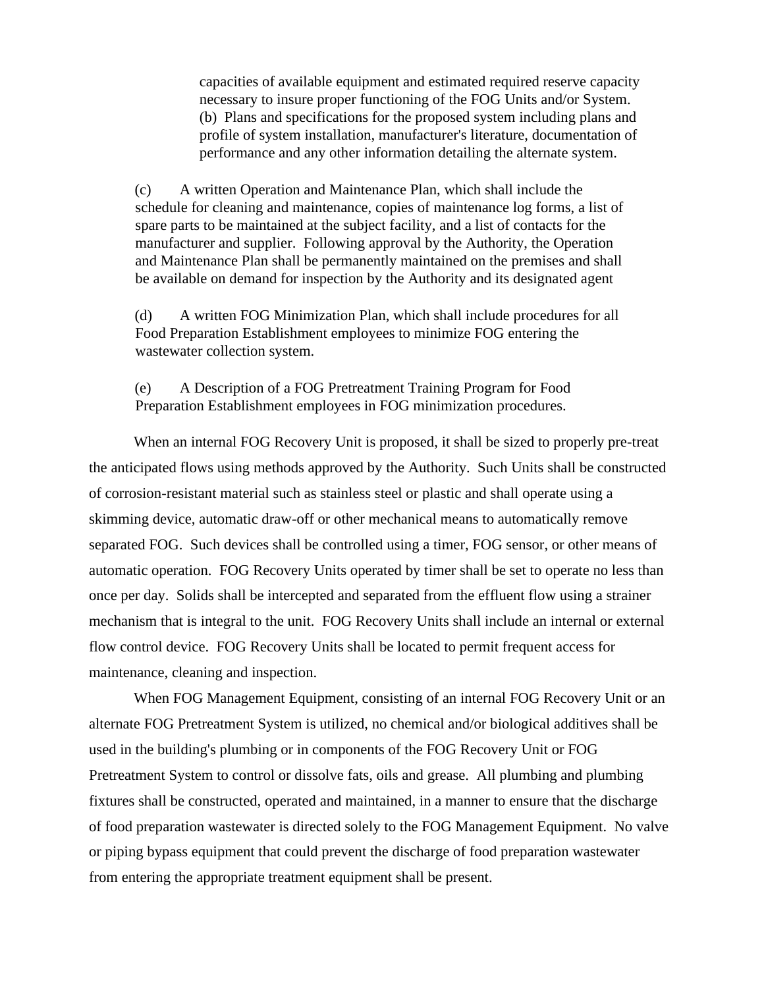capacities of available equipment and estimated required reserve capacity necessary to insure proper functioning of the FOG Units and/or System. (b) Plans and specifications for the proposed system including plans and profile of system installation, manufacturer's literature, documentation of performance and any other information detailing the alternate system.

(c) A written Operation and Maintenance Plan, which shall include the schedule for cleaning and maintenance, copies of maintenance log forms, a list of spare parts to be maintained at the subject facility, and a list of contacts for the manufacturer and supplier. Following approval by the Authority, the Operation and Maintenance Plan shall be permanently maintained on the premises and shall be available on demand for inspection by the Authority and its designated agent

(d) A written FOG Minimization Plan, which shall include procedures for all Food Preparation Establishment employees to minimize FOG entering the wastewater collection system.

(e) A Description of a FOG Pretreatment Training Program for Food Preparation Establishment employees in FOG minimization procedures.

When an internal FOG Recovery Unit is proposed, it shall be sized to properly pre-treat the anticipated flows using methods approved by the Authority. Such Units shall be constructed of corrosion-resistant material such as stainless steel or plastic and shall operate using a skimming device, automatic draw-off or other mechanical means to automatically remove separated FOG. Such devices shall be controlled using a timer, FOG sensor, or other means of automatic operation. FOG Recovery Units operated by timer shall be set to operate no less than once per day. Solids shall be intercepted and separated from the effluent flow using a strainer mechanism that is integral to the unit. FOG Recovery Units shall include an internal or external flow control device. FOG Recovery Units shall be located to permit frequent access for maintenance, cleaning and inspection.

When FOG Management Equipment, consisting of an internal FOG Recovery Unit or an alternate FOG Pretreatment System is utilized, no chemical and/or biological additives shall be used in the building's plumbing or in components of the FOG Recovery Unit or FOG Pretreatment System to control or dissolve fats, oils and grease. All plumbing and plumbing fixtures shall be constructed, operated and maintained, in a manner to ensure that the discharge of food preparation wastewater is directed solely to the FOG Management Equipment. No valve or piping bypass equipment that could prevent the discharge of food preparation wastewater from entering the appropriate treatment equipment shall be present.